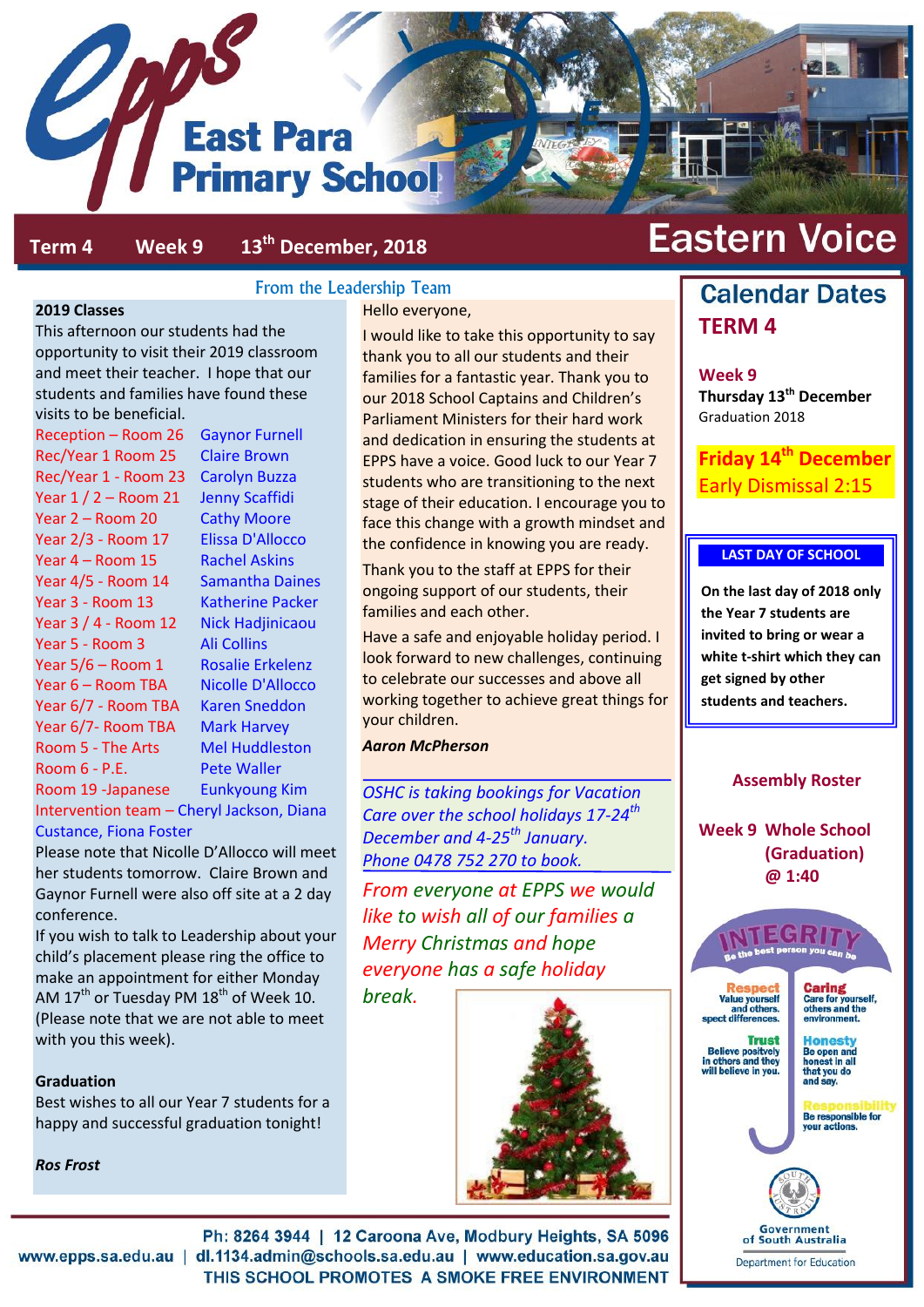

#### **Term 4 Week 9 13th December, 2018**

#### **2019 Classes**

This afternoon our students had the opportunity to visit their 2019 classroom and meet their teacher. I hope that our students and families have found these visits to be beneficial.

Reception – Room 26 Gaynor Furnell Rec/Year 1 Room 25 Claire Brown Rec/Year 1 - Room 23 Carolyn Buzza Year  $1/2$  – Room 21 Jenny Scaffidi Year 2 – Room 20 Cathy Moore Year 2/3 - Room 17 Elissa D'Allocco Year 4 – Room 15 Rachel Askins Year 4/5 - Room 14 Samantha Daines Year 3 - Room 13 Katherine Packer Year 3 / 4 - Room 12 Nick Hadjinicaou Year 5 - Room 3 Ali Collins Year 5/6 – Room 1 Rosalie Erkelenz Year 6 – Room TBA Nicolle D'Allocco Year 6/7 - Room TBA Karen Sneddon Year 6/7- Room TBA Mark Harvey Room 5 - The Arts Mel Huddleston Room 6 - P.E. Pete Waller Room 19 -Japanese Eunkyoung Kim Intervention team – Cheryl Jackson, Diana

Custance, Fiona Foster

Please note that Nicolle D'Allocco will meet her students tomorrow. Claire Brown and Gaynor Furnell were also off site at a 2 day conference.

If you wish to talk to Leadership about your child's placement please ring the office to make an appointment for either Monday AM 17<sup>th</sup> or Tuesday PM 18<sup>th</sup> of Week 10. (Please note that we are not able to meet with you this week).

#### **Graduation**

Best wishes to all our Year 7 students for a happy and successful graduation tonight!

*Ros Frost*

#### From the Leadership Team

Hello everyone,

I would like to take this opportunity to say thank you to all our students and their families for a fantastic year. Thank you to our 2018 School Captains and Children's Parliament Ministers for their hard work and dedication in ensuring the students at EPPS have a voice. Good luck to our Year 7 students who are transitioning to the next stage of their education. I encourage you to face this change with a growth mindset and the confidence in knowing you are ready.

Thank you to the staff at EPPS for their ongoing support of our students, their families and each other.

Have a safe and enjoyable holiday period. I look forward to new challenges, continuing to celebrate our successes and above all working together to achieve great things for your children.

#### *Aaron McPherson*

*OSHC is taking bookings for Vacation Care over the school holidays 17-24th December and 4-25th January. Phone 0478 752 270 to book.*

*From everyone at EPPS we would like to wish all of our families a Merry Christmas and hope everyone has a safe holiday* 

*break.*



# **Eastern Voice**

# **Calendar Dates TERM 4**

**Week 9**

**Thursday 13th December** Graduation 2018

**Friday 14th December** Early Dismissal 2:15

#### **LAST DAY OF SCHOOL**

**On the last day of 2018 only the Year 7 students are invited to bring or wear a white t-shirt which they can get signed by other students and teachers.**

#### **Assembly Roster**

**Week 9 Whole School (Graduation) @ 1:40**



Government of South Australia

Ph: 8264 3944 | 12 Caroona Ave, Modbury Heights, SA 5096 www.epps.sa.edu.au | dl.1134.admin@schools.sa.edu.au | www.education.sa.gov.au THIS SCHOOL PROMOTES A SMOKE FREE ENVIRONMENT

Department for Education